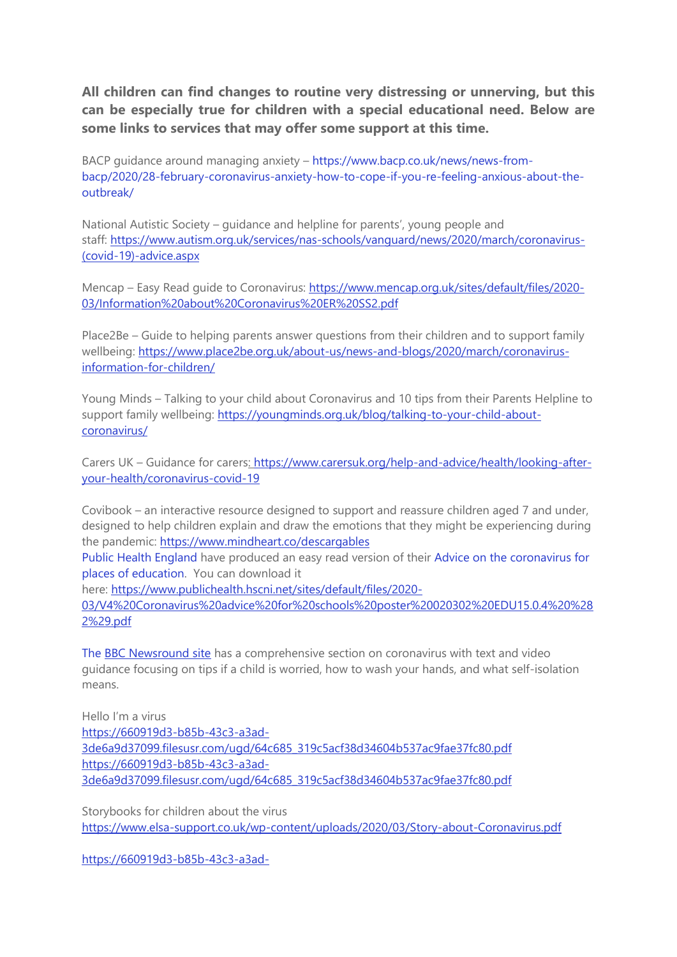**All children can find changes to routine very distressing or unnerving, but this can be especially true for children with a special educational need. Below are some links to services that may offer some support at this time.** 

BACP guidance around managing anxiety – [https://www.bacp.co.uk/news/news-from](https://www.bacp.co.uk/news/news-from-bacp/2020/28-february-coronavirus-anxiety-how-to-cope-if-you-re-feeling-anxious-about-the-outbreak/)[bacp/2020/28-february-coronavirus-anxiety-how-to-cope-if-you-re-feeling-anxious-about-the](https://www.bacp.co.uk/news/news-from-bacp/2020/28-february-coronavirus-anxiety-how-to-cope-if-you-re-feeling-anxious-about-the-outbreak/)[outbreak/](https://www.bacp.co.uk/news/news-from-bacp/2020/28-february-coronavirus-anxiety-how-to-cope-if-you-re-feeling-anxious-about-the-outbreak/)

National Autistic Society – guidance and helpline for parents', young people and staff: [https://www.autism.org.uk/services/nas-schools/vanguard/news/2020/march/coronavirus-](https://eur02.safelinks.protection.outlook.com/?url=https%3A%2F%2Fwww.autism.org.uk%2Fservices%2Fnas-schools%2Fvanguard%2Fnews%2F2020%2Fmarch%2Fcoronavirus-(covid-19)-advice.aspx&data=02%7C01%7CAAllard%40ncb.org.uk%7C7d078078e21d4611dba808d7cb45bcbd%7Cadc87355e29c4519954f95e35c776178%7C0%7C0%7C637201372684920098&sdata=X0p0IpfwmQXowcaQVRflamskU%2FNmdKpAYqUIn6RYxjI%3D&reserved=0) [\(covid-19\)-advice.aspx](https://eur02.safelinks.protection.outlook.com/?url=https%3A%2F%2Fwww.autism.org.uk%2Fservices%2Fnas-schools%2Fvanguard%2Fnews%2F2020%2Fmarch%2Fcoronavirus-(covid-19)-advice.aspx&data=02%7C01%7CAAllard%40ncb.org.uk%7C7d078078e21d4611dba808d7cb45bcbd%7Cadc87355e29c4519954f95e35c776178%7C0%7C0%7C637201372684920098&sdata=X0p0IpfwmQXowcaQVRflamskU%2FNmdKpAYqUIn6RYxjI%3D&reserved=0)

Mencap – Easy Read guide to Coronavirus: [https://www.mencap.org.uk/sites/default/files/2020-](https://eur02.safelinks.protection.outlook.com/?url=https%3A%2F%2Fwww.mencap.org.uk%2Fsites%2Fdefault%2Ffiles%2F2020-03%2FInformation%2520about%2520Coronavirus%2520ER%2520SS2.pdf&data=02%7C01%7CAAllard%40ncb.org.uk%7C7d078078e21d4611dba808d7cb45bcbd%7Cadc87355e29c4519954f95e35c776178%7C0%7C0%7C637201372684920098&sdata=S5Q3Tzb8p6P6AOsa%2BeDPP8PQceazwG2xEK6T65DQ%2Fng%3D&reserved=0) [03/Information%20about%20Coronavirus%20ER%20SS2.pdf](https://eur02.safelinks.protection.outlook.com/?url=https%3A%2F%2Fwww.mencap.org.uk%2Fsites%2Fdefault%2Ffiles%2F2020-03%2FInformation%2520about%2520Coronavirus%2520ER%2520SS2.pdf&data=02%7C01%7CAAllard%40ncb.org.uk%7C7d078078e21d4611dba808d7cb45bcbd%7Cadc87355e29c4519954f95e35c776178%7C0%7C0%7C637201372684920098&sdata=S5Q3Tzb8p6P6AOsa%2BeDPP8PQceazwG2xEK6T65DQ%2Fng%3D&reserved=0)

Place2Be – Guide to helping parents answer questions from their children and to support family wellbeing: [https://www.place2be.org.uk/about-us/news-and-blogs/2020/march/coronavirus](https://eur02.safelinks.protection.outlook.com/?url=https%3A%2F%2Fwww.place2be.org.uk%2Fabout-us%2Fnews-and-blogs%2F2020%2Fmarch%2Fcoronavirus-information-for-children%2F&data=02%7C01%7CAAllard%40ncb.org.uk%7C7d078078e21d4611dba808d7cb45bcbd%7Cadc87355e29c4519954f95e35c776178%7C0%7C0%7C637201372684930090&sdata=AWZKF3H5NwjfSE9gcCUoshSrOC0crBlLr%2FKLPTtGpTo%3D&reserved=0)[information-for-children/](https://eur02.safelinks.protection.outlook.com/?url=https%3A%2F%2Fwww.place2be.org.uk%2Fabout-us%2Fnews-and-blogs%2F2020%2Fmarch%2Fcoronavirus-information-for-children%2F&data=02%7C01%7CAAllard%40ncb.org.uk%7C7d078078e21d4611dba808d7cb45bcbd%7Cadc87355e29c4519954f95e35c776178%7C0%7C0%7C637201372684930090&sdata=AWZKF3H5NwjfSE9gcCUoshSrOC0crBlLr%2FKLPTtGpTo%3D&reserved=0)

Young Minds – Talking to your child about Coronavirus and 10 tips from their Parents Helpline to support family wellbeing: [https://youngminds.org.uk/blog/talking-to-your-child-about](https://eur02.safelinks.protection.outlook.com/?url=https%3A%2F%2Fyoungminds.org.uk%2Fblog%2Ftalking-to-your-child-about-coronavirus%2F&data=02%7C01%7CAAllard%40ncb.org.uk%7C7d078078e21d4611dba808d7cb45bcbd%7Cadc87355e29c4519954f95e35c776178%7C0%7C0%7C637201372684930090&sdata=hCT6wVcFSacio7qNOvk6eX8YRRm0uKSOa4QvPTitEMg%3D&reserved=0)[coronavirus/](https://eur02.safelinks.protection.outlook.com/?url=https%3A%2F%2Fyoungminds.org.uk%2Fblog%2Ftalking-to-your-child-about-coronavirus%2F&data=02%7C01%7CAAllard%40ncb.org.uk%7C7d078078e21d4611dba808d7cb45bcbd%7Cadc87355e29c4519954f95e35c776178%7C0%7C0%7C637201372684930090&sdata=hCT6wVcFSacio7qNOvk6eX8YRRm0uKSOa4QvPTitEMg%3D&reserved=0)

Carers UK – Guidance for carers: [https://www.carersuk.org/help-and-advice/health/looking-after](https://eur02.safelinks.protection.outlook.com/?url=https%3A%2F%2Fwww.carersuk.org%2Fhelp-and-advice%2Fhealth%2Flooking-after-your-health%2Fcoronavirus-covid-19&data=02%7C01%7CAAllard%40ncb.org.uk%7C7d078078e21d4611dba808d7cb45bcbd%7Cadc87355e29c4519954f95e35c776178%7C0%7C0%7C637201372684940084&sdata=RPeTq3k0bpsI1zGIjDqchzAvM%2F7CO2FZ16o%2BrlK4Kns%3D&reserved=0)[your-health/coronavirus-covid-19](https://eur02.safelinks.protection.outlook.com/?url=https%3A%2F%2Fwww.carersuk.org%2Fhelp-and-advice%2Fhealth%2Flooking-after-your-health%2Fcoronavirus-covid-19&data=02%7C01%7CAAllard%40ncb.org.uk%7C7d078078e21d4611dba808d7cb45bcbd%7Cadc87355e29c4519954f95e35c776178%7C0%7C0%7C637201372684940084&sdata=RPeTq3k0bpsI1zGIjDqchzAvM%2F7CO2FZ16o%2BrlK4Kns%3D&reserved=0)

Covibook – an interactive resource designed to support and reassure children aged 7 and under, designed to help children explain and draw the emotions that they might be experiencing during the pandemic: [https://www.mindheart.co/descargables](https://eur02.safelinks.protection.outlook.com/?url=https%3A%2F%2Fwww.mindheart.co%2Fdescargables&data=02%7C01%7CAAllard%40ncb.org.uk%7C7d078078e21d4611dba808d7cb45bcbd%7Cadc87355e29c4519954f95e35c776178%7C0%7C0%7C637201372684940084&sdata=H2glY%2Bfie1Tk3b6lnXcKEmKtZs%2Bf%2BCSQIydH2LaaCgI%3D&reserved=0)

Public Health [England](https://eur02.safelinks.protection.outlook.com/?url=https%3A%2F%2Feasy-read-online.us15.list-manage.com%2Ftrack%2Fclick%3Fu%3D6d563f7f763a0cf7e70c9cfe1%26id%3D0c04c35bc0%26e%3D1a4a54ea5e&data=02%7C01%7CAAllard%40ncb.org.uk%7Caf891cc0fed7420ba55608d7ca566849%7Cadc87355e29c4519954f95e35c776178%7C0%7C0%7C637200344772988297&sdata=9mh8m8DKfQVNX9GPfAMXq57s5ykCLVm7PE6%2BPiCAKUc%3D&reserved=0) have produced an easy read version of their Advice on the [coronavirus](https://eur02.safelinks.protection.outlook.com/?url=https%3A%2F%2Feasy-read-online.us15.list-manage.com%2Ftrack%2Fclick%3Fu%3D6d563f7f763a0cf7e70c9cfe1%26id%3D6efa277046%26e%3D1a4a54ea5e&data=02%7C01%7CAAllard%40ncb.org.uk%7Caf891cc0fed7420ba55608d7ca566849%7Cadc87355e29c4519954f95e35c776178%7C0%7C0%7C637200344772978298&sdata=blVpFcNZEHqif7ytPfFwrpGNY2Mmmw4leeRFvWPiT4o%3D&reserved=0) for places of [education.](https://eur02.safelinks.protection.outlook.com/?url=https%3A%2F%2Feasy-read-online.us15.list-manage.com%2Ftrack%2Fclick%3Fu%3D6d563f7f763a0cf7e70c9cfe1%26id%3D6efa277046%26e%3D1a4a54ea5e&data=02%7C01%7CAAllard%40ncb.org.uk%7Caf891cc0fed7420ba55608d7ca566849%7Cadc87355e29c4519954f95e35c776178%7C0%7C0%7C637200344772978298&sdata=blVpFcNZEHqif7ytPfFwrpGNY2Mmmw4leeRFvWPiT4o%3D&reserved=0) You can download it

here: [https://www.publichealth.hscni.net/sites/default/files/2020-](https://www.publichealth.hscni.net/sites/default/files/2020-03/V4%20Coronavirus%20advice%20for%20schools%20poster%20020302%20EDU15.0.4%20%282%29.pdf)

[03/V4%20Coronavirus%20advice%20for%20schools%20poster%20020302%20EDU15.0.4%20%28](https://www.publichealth.hscni.net/sites/default/files/2020-03/V4%20Coronavirus%20advice%20for%20schools%20poster%20020302%20EDU15.0.4%20%282%29.pdf) [2%29.pdf](https://www.publichealth.hscni.net/sites/default/files/2020-03/V4%20Coronavirus%20advice%20for%20schools%20poster%20020302%20EDU15.0.4%20%282%29.pdf)

The BBC [Newsround](https://network.us3.list-manage.com/track/click?u=612176ef52c889c40ba7f42f2&id=8c7f056d62&e=8ac38c04e4) site has a comprehensive section on coronavirus with text and video guidance focusing on tips if a child is worried, how to wash your hands, and what self-isolation means.

Hello I'm a virus [https://660919d3-b85b-43c3-a3ad-](https://network.us3.list-manage.com/track/click?u=612176ef52c889c40ba7f42f2&id=f6e153dc34&e=8ac38c04e4)[3de6a9d37099.filesusr.com/ugd/64c685\\_319c5acf38d34604b537ac9fae37fc80.pdf](https://network.us3.list-manage.com/track/click?u=612176ef52c889c40ba7f42f2&id=f6e153dc34&e=8ac38c04e4) [https://660919d3-b85b-43c3-a3ad-](https://network.us3.list-manage.com/track/click?u=612176ef52c889c40ba7f42f2&id=d14159bfc8&e=8ac38c04e4)[3de6a9d37099.filesusr.com/ugd/64c685\\_319c5acf38d34604b537ac9fae37fc80.pdf](https://network.us3.list-manage.com/track/click?u=612176ef52c889c40ba7f42f2&id=d14159bfc8&e=8ac38c04e4)

Storybooks for children about the virus [https://www.elsa-support.co.uk/wp-content/uploads/2020/03/Story-about-Coronavirus.pdf](https://network.us3.list-manage.com/track/click?u=612176ef52c889c40ba7f42f2&id=51ba0ab130&e=8ac38c04e4)

[https://660919d3-b85b-43c3-a3ad-](https://network.us3.list-manage.com/track/click?u=612176ef52c889c40ba7f42f2&id=8857ccf8d4&e=8ac38c04e4)